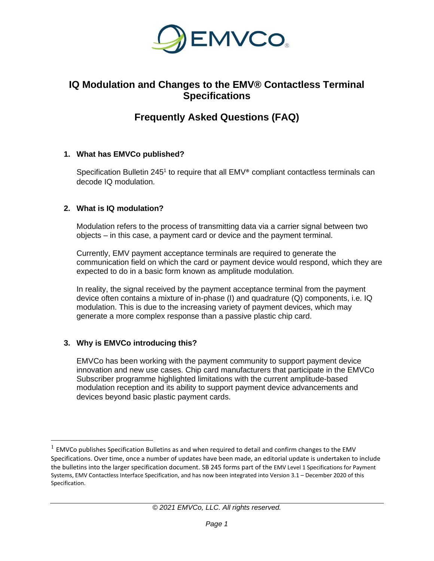

## **IQ Modulation and Changes to the EMV® Contactless Terminal Specifications**

# **Frequently Asked Questions (FAQ)**

## **1. What has EMVCo published?**

Specification Bulletin 245<sup>1</sup> to require that all EMV<sup>®</sup> compliant contactless terminals can decode IQ modulation.

## **2. What is IQ modulation?**

Modulation refers to the process of transmitting data via a carrier signal between two objects – in this case, a payment card or device and the payment terminal.

Currently, EMV payment acceptance terminals are required to generate the communication field on which the card or payment device would respond, which they are expected to do in a basic form known as amplitude modulation.

In reality, the signal received by the payment acceptance terminal from the payment device often contains a mixture of in-phase (I) and quadrature (Q) components, i.e. IQ modulation. This is due to the increasing variety of payment devices, which may generate a more complex response than a passive plastic chip card.

## **3. Why is EMVCo introducing this?**

EMVCo has been working with the payment community to support payment device innovation and new use cases. Chip card manufacturers that participate in the EMVCo Subscriber programme highlighted limitations with the current amplitude-based modulation reception and its ability to support payment device advancements and devices beyond basic plastic payment cards.

 $<sup>1</sup>$  EMVCo publishes Specification Bulletins as and when required to detail and confirm changes to the EMV</sup> Specifications. Over time, once a number of updates have been made, an editorial update is undertaken to include the bulletins into the larger specification document. SB 245 forms part of the EMV Level 1 Specifications for Payment Systems, EMV Contactless Interface Specification, and has now been integrated into Version 3.1 – December 2020 of this Specification.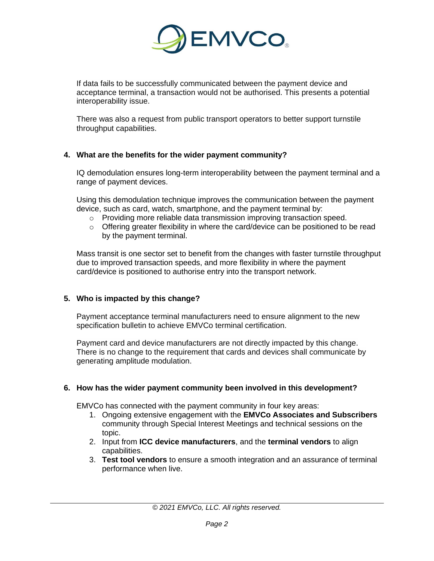

If data fails to be successfully communicated between the payment device and acceptance terminal, a transaction would not be authorised. This presents a potential interoperability issue.

There was also a request from public transport operators to better support turnstile throughput capabilities.

#### **4. What are the benefits for the wider payment community?**

IQ demodulation ensures long-term interoperability between the payment terminal and a range of payment devices.

Using this demodulation technique improves the communication between the payment device, such as card, watch, smartphone, and the payment terminal by:

- o Providing more reliable data transmission improving transaction speed.
- o Offering greater flexibility in where the card/device can be positioned to be read by the payment terminal.

Mass transit is one sector set to benefit from the changes with faster turnstile throughput due to improved transaction speeds, and more flexibility in where the payment card/device is positioned to authorise entry into the transport network.

#### **5. Who is impacted by this change?**

Payment acceptance terminal manufacturers need to ensure alignment to the new specification bulletin to achieve EMVCo terminal certification.

Payment card and device manufacturers are not directly impacted by this change. There is no change to the requirement that cards and devices shall communicate by generating amplitude modulation.

#### **6. How has the wider payment community been involved in this development?**

EMVCo has connected with the payment community in four key areas:

- 1. Ongoing extensive engagement with the **EMVCo Associates and Subscribers** community through Special Interest Meetings and technical sessions on the topic.
- 2. Input from **ICC device manufacturers**, and the **terminal vendors** to align capabilities.
- 3. **Test tool vendors** to ensure a smooth integration and an assurance of terminal performance when live.